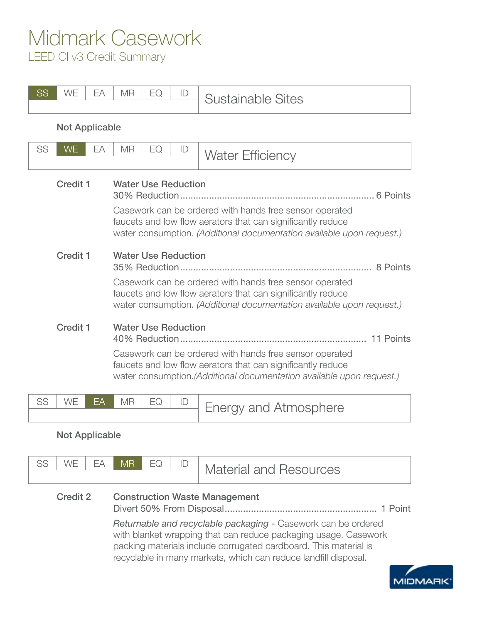## Midmark Casework

LEED CI v3 Credit Summary

| <b>SS</b>                          | WE                    | EA | <b>MR</b>                                                                                                                                                                                                                                  | EQ | ID | <b>Sustainable Sites</b>     |  |  |  |
|------------------------------------|-----------------------|----|--------------------------------------------------------------------------------------------------------------------------------------------------------------------------------------------------------------------------------------------|----|----|------------------------------|--|--|--|
|                                    | <b>Not Applicable</b> |    |                                                                                                                                                                                                                                            |    |    |                              |  |  |  |
| SS                                 | <b>WE</b>             | EA | <b>MR</b>                                                                                                                                                                                                                                  | EQ | ID | <b>Water Efficiency</b>      |  |  |  |
| <b>Credit 1</b>                    |                       |    | <b>Water Use Reduction</b><br>Casework can be ordered with hands free sensor operated<br>faucets and low flow aerators that can significantly reduce<br>water consumption. (Additional documentation available upon request.)              |    |    |                              |  |  |  |
| <b>Credit 1</b><br><b>Credit 1</b> |                       |    | <b>Water Use Reduction</b><br>8 Points<br>Casework can be ordered with hands free sensor operated<br>faucets and low flow aerators that can significantly reduce<br>water consumption. (Additional documentation available upon request.)  |    |    |                              |  |  |  |
|                                    |                       |    | <b>Water Use Reduction</b><br>11 Points<br>Casework can be ordered with hands free sensor operated<br>faucets and low flow aerators that can significantly reduce<br>water consumption. (Additional documentation available upon request.) |    |    |                              |  |  |  |
| SS                                 | WE                    | FΑ | <b>MR</b>                                                                                                                                                                                                                                  | EQ | ID | <b>Energy and Atmosphere</b> |  |  |  |

## Not Applicable

|          | WF I | FA I | IMR EQ                                                                      |  |  | <b>Material and Resources</b> |  |  |  |  |
|----------|------|------|-----------------------------------------------------------------------------|--|--|-------------------------------|--|--|--|--|
| Credit 2 |      |      | <b>Construction Waste Management</b><br>Divert 50% From Disposal<br>1 Point |  |  |                               |  |  |  |  |

*Returnable and recyclable packaging* - Casework can be ordered with blanket wrapping that can reduce packaging usage. Casework packing materials include corrugated cardboard. This material is recyclable in many markets, which can reduce landfill disposal.